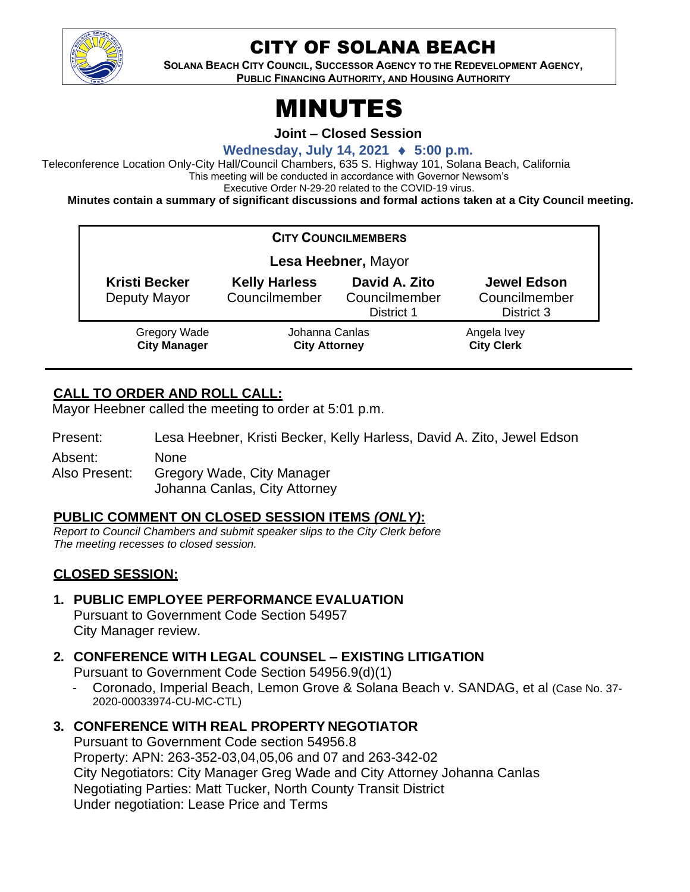

# CITY OF SOLANA BEACH

**SOLANA BEACH CITY COUNCIL, SUCCESSOR AGENCY TO THE REDEVELOPMENT AGENCY, PUBLIC FINANCING AUTHORITY, AND HOUSING AUTHORITY**

# MINUTES

**Joint – Closed Session**

**Wednesday, July 14, 2021 5:00 p.m.**

Teleconference Location Only-City Hall/Council Chambers, 635 S. Highway 101, Solana Beach, California This meeting will be conducted in accordance with Governor Newsom's Executive Order N-29-20 related to the COVID-19 virus.

**Minutes contain a summary of significant discussions and formal actions taken at a City Council meeting.**

| <b>CITY COUNCILMEMBERS</b>                 |                                        |                                              |                                                   |
|--------------------------------------------|----------------------------------------|----------------------------------------------|---------------------------------------------------|
| Lesa Heebner, Mayor                        |                                        |                                              |                                                   |
| <b>Kristi Becker</b><br>Deputy Mayor       | <b>Kelly Harless</b><br>Councilmember  | David A. Zito<br>Councilmember<br>District 1 | <b>Jewel Edson</b><br>Councilmember<br>District 3 |
| <b>Gregory Wade</b><br><b>City Manager</b> | Johanna Canlas<br><b>City Attorney</b> |                                              | Angela Ivey<br><b>City Clerk</b>                  |

## **CALL TO ORDER AND ROLL CALL:**

Mayor Heebner called the meeting to order at 5:01 p.m.

Present: Lesa Heebner, Kristi Becker, Kelly Harless, David A. Zito, Jewel Edson Absent: None

Also Present: Gregory Wade, City Manager Johanna Canlas, City Attorney

#### **PUBLIC COMMENT ON CLOSED SESSION ITEMS** *(ONLY)***:**

*Report to Council Chambers and submit speaker slips to the City Clerk before The meeting recesses to closed session.*

## **CLOSED SESSION:**

- **1. PUBLIC EMPLOYEE PERFORMANCE EVALUATION** Pursuant to Government Code Section 54957 City Manager review.
- **2. CONFERENCE WITH LEGAL COUNSEL – EXISTING LITIGATION**

Pursuant to Government Code Section 54956.9(d)(1)

- Coronado, Imperial Beach, Lemon Grove & Solana Beach v. SANDAG, et al (Case No. 37- 2020-00033974-CU-MC-CTL)
- **3. CONFERENCE WITH REAL PROPERTY NEGOTIATOR**

Pursuant to Government Code section 54956.8 Property: APN: 263-352-03,04,05,06 and 07 and 263-342-02 City Negotiators: City Manager Greg Wade and City Attorney Johanna Canlas Negotiating Parties: Matt Tucker, North County Transit District Under negotiation: Lease Price and Terms